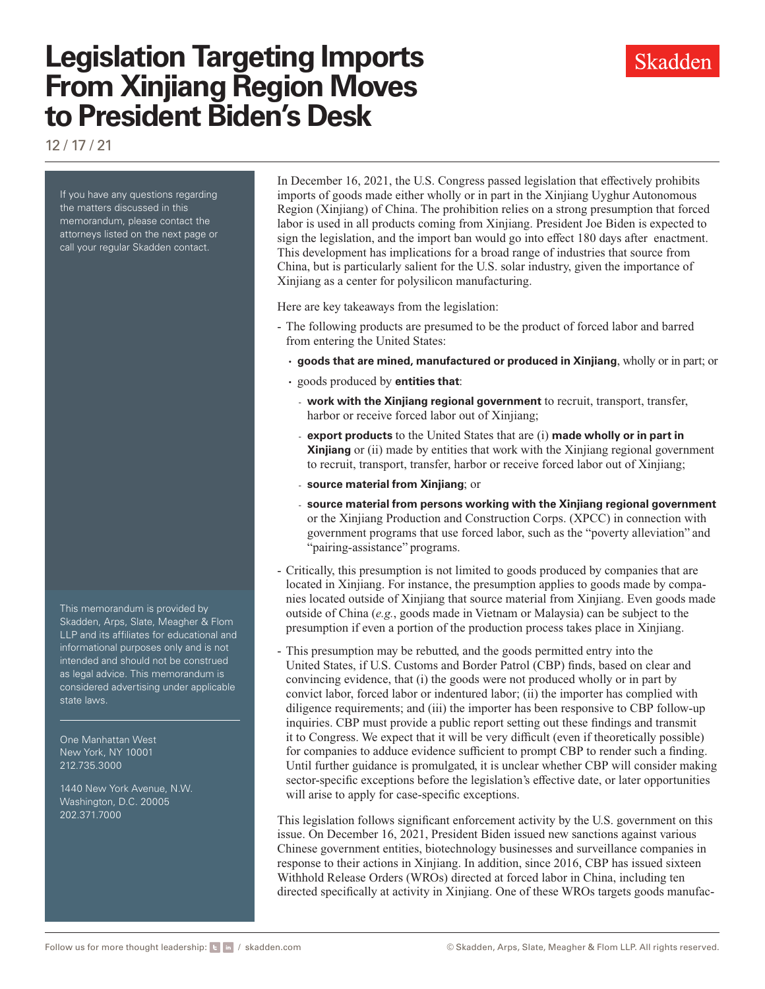# **Legislation Targeting Imports From Xinjiang Region Moves to President Biden's Desk**

12 / 17 / 21

If you have any questions regarding the matters discussed in this memorandum, please contact the attorneys listed on the next page or call your regular Skadden contact.

This memorandum is provided by Skadden, Arps, Slate, Meagher & Flom LLP and its affiliates for educational and informational purposes only and is not intended and should not be construed as legal advice. This memorandum is considered advertising under applicable state laws.

One Manhattan West New York, NY 10001 212.735.3000

1440 New York Avenue, N.W. Washington, D.C. 20005 202.371.7000

In December 16, 2021, the U.S. Congress passed legislation that effectively prohibits imports of goods made either wholly or in part in the Xinjiang Uyghur Autonomous Region (Xinjiang) of China. The prohibition relies on a strong presumption that forced labor is used in all products coming from Xinjiang. President Joe Biden is expected to sign the legislation, and the import ban would go into effect 180 days after enactment. This development has implications for a broad range of industries that source from China, but is particularly salient for the U.S. solar industry, given the importance of Xinjiang as a center for polysilicon manufacturing.

Here are key takeaways from the legislation:

- The following products are presumed to be the product of forced labor and barred from entering the United States:
	- **goods that are mined, manufactured or produced in Xinjiang**, wholly or in part; or
	- goods produced by **entities that**:
		- **work with the Xinjiang regional government** to recruit, transport, transfer, harbor or receive forced labor out of Xinjiang;
		- **export products** to the United States that are (i) **made wholly or in part in Xinjiang** or (ii) made by entities that work with the Xinjiang regional government to recruit, transport, transfer, harbor or receive forced labor out of Xinjiang;
		- **source material from Xinjiang**; or
		- **source material from persons working with the Xinjiang regional government** or the Xinjiang Production and Construction Corps. (XPCC) in connection with government programs that use forced labor, such as the "poverty alleviation" and "pairing-assistance" programs.
- Critically, this presumption is not limited to goods produced by companies that are located in Xinjiang. For instance, the presumption applies to goods made by companies located outside of Xinjiang that source material from Xinjiang. Even goods made outside of China (*e.g.*, goods made in Vietnam or Malaysia) can be subject to the presumption if even a portion of the production process takes place in Xinjiang.
- This presumption may be rebutted, and the goods permitted entry into the United States, if U.S. Customs and Border Patrol (CBP) finds, based on clear and convincing evidence, that (i) the goods were not produced wholly or in part by convict labor, forced labor or indentured labor; (ii) the importer has complied with diligence requirements; and (iii) the importer has been responsive to CBP follow-up inquiries. CBP must provide a public report setting out these findings and transmit it to Congress. We expect that it will be very difficult (even if theoretically possible) for companies to adduce evidence sufficient to prompt CBP to render such a finding. Until further guidance is promulgated, it is unclear whether CBP will consider making sector-specific exceptions before the legislation's effective date, or later opportunities will arise to apply for case-specific exceptions.

This legislation follows significant enforcement activity by the U.S. government on this issue. On December 16, 2021, President Biden issued new sanctions against various Chinese government entities, biotechnology businesses and surveillance companies in response to their actions in Xinjiang. In addition, since 2016, CBP has issued sixteen Withhold Release Orders (WROs) directed at forced labor in China, including ten directed specifically at activity in Xinjiang. One of these WROs targets goods manufac-